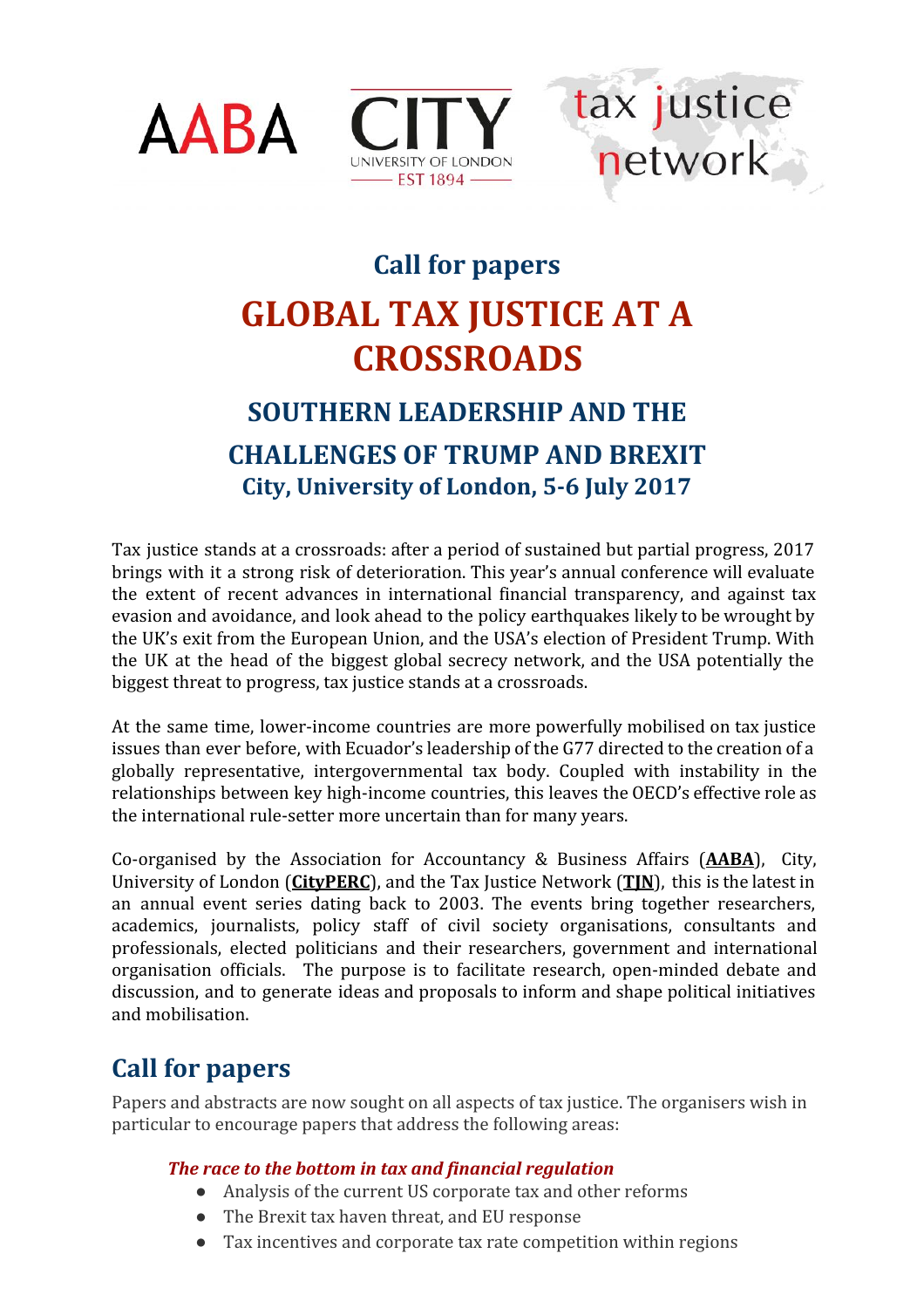





# **Call for papers GLOBAL TAX JUSTICE AT A CROSSROADS**

## **SOUTHERN LEADERSHIP AND THE CHALLENGES OF TRUMP AND BREXIT**

**City, University of London, 5-6 July 2017**

Tax justice stands at a crossroads: after a period of sustained but partial progress, 2017 brings with it a strong risk of deterioration. This year's annual conference will evaluate the extent of recent advances in international financial transparency, and against tax evasion and avoidance, and look ahead to the policy earthquakes likely to be wrought by the UK's exit from the European Union, and the USA's election of President Trump. With the UK at the head of the biggest global secrecy network, and the USA potentially the biggest threat to progress, tax justice stands at a crossroads.

At the same time, lower-income countries are more powerfully mobilised on tax justice issues than ever before, with Ecuador's leadership of the G77 directed to the creation of a globally representative, intergovernmental tax body. Coupled with instability in the relationships between key high-income countries, this leaves the OECD's effective role as the international rule-setter more uncertain than for many years.

Co-organised by the Association for Accountancy & Business Affairs (**[AABA](http://www.aabaglobal.org/)**), City, University of London (**[CityPERC](http://www.city.ac.uk/social-sciences/international-politics)**), and the Tax Justice Network (**[TJN](http://www.taxjustice.net/)**), this is the latest in an annual event series dating back to 2003. The events bring together researchers, academics, journalists, policy staff of civil society organisations, consultants and professionals, elected politicians and their researchers, government and international organisation officials. The purpose is to facilitate research, open-minded debate and discussion, and to generate ideas and proposals to inform and shape political initiatives and mobilisation.

### **Call for papers**

Papers and abstracts are now sought on all aspects of tax justice. The organisers wish in particular to encourage papers that address the following areas:

#### *The race to the bottom in tax and financial regulation*

- Analysis of the current US corporate tax and other reforms
- The Brexit tax haven threat, and EU response
- Tax incentives and corporate tax rate competition within regions